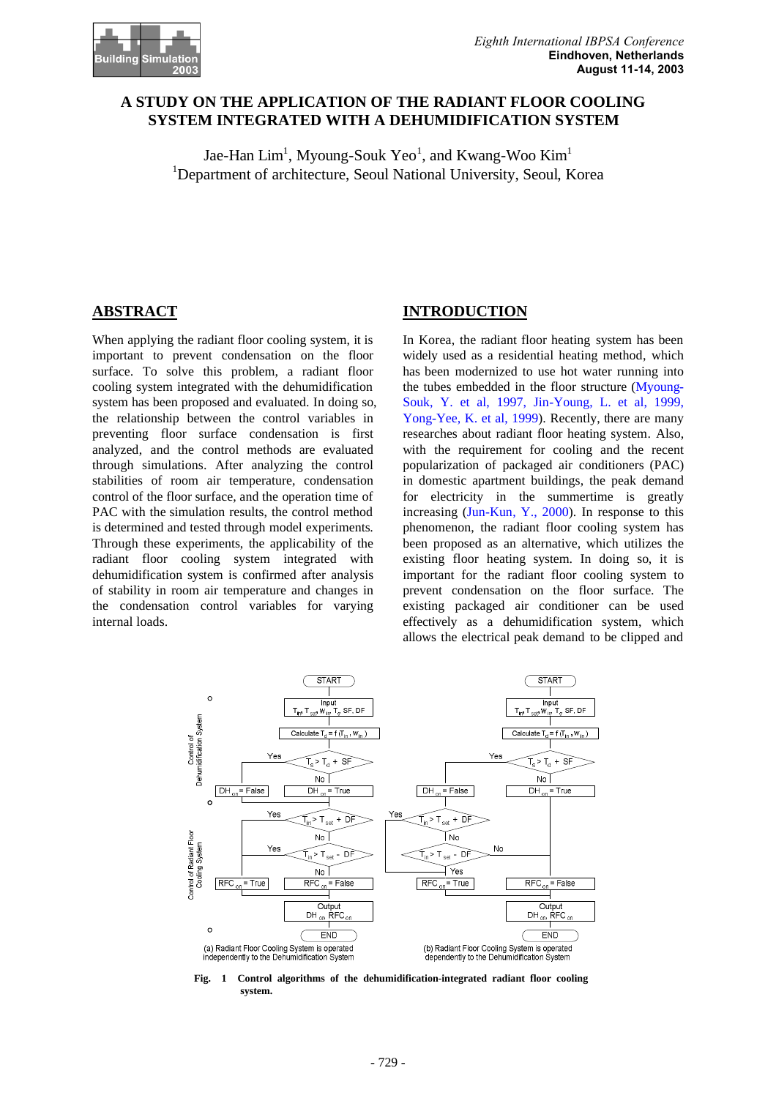

# **A STUDY ON THE APPLICATION OF THE RADIANT FLOOR COOLING SYSTEM INTEGRATED WITH A DEHUMIDIFICATION SYSTEM**

Jae-Han  $\mathrm{Lim}^1$ , Myoung-Souk Yeo<sup>1</sup>, and Kwang-Woo Kim<sup>1</sup> <sup>1</sup>Department of architecture, Seoul National University, Seoul, Korea

# **ABSTRACT**

When applying the radiant floor cooling system, it is important to prevent condensation on the floor surface. To solve this problem, a radiant floor cooling system integrated with the dehumidification system has been proposed and evaluated. In doing so, the relationship between the control variables in preventing floor surface condensation is first analyzed, and the control methods are evaluated through simulations. After analyzing the control stabilities of room air temperature, condensation control of the floor surface, and the operation time of PAC with the simulation results, the control method is determined and tested through model experiments. Through these experiments, the applicability of the radiant floor cooling system integrated with dehumidification system is confirmed after analysis of stability in room air temperature and changes in the condensation control variables for varying internal loads.

# **INTRODUCTION**

In Korea, the radiant floor heating system has been widely used as a residential heating method, which has been modernized to use hot water running into the tubes embedded in the floor structure (Myoung-Souk, Y. et al, 1997, Jin-Young, L. et al, 1999, Yong-Yee, K. et al, 1999). Recently, there are many researches about radiant floor heating system. Also, with the requirement for cooling and the recent popularization of packaged air conditioners (PAC) in domestic apartment buildings, the peak demand for electricity in the summertime is greatly increasing (Jun-Kun, Y., 2000). In response to this phenomenon, the radiant floor cooling system has been proposed as an alternative, which utilizes the existing floor heating system. In doing so, it is important for the radiant floor cooling system to prevent condensation on the floor surface. The existing packaged air conditioner can be used effectively as a dehumidification system, which allows the electrical peak demand to be clipped and



**Fig. 1 Control algorithms of the dehumidification-integrated radiant floor cooling system.**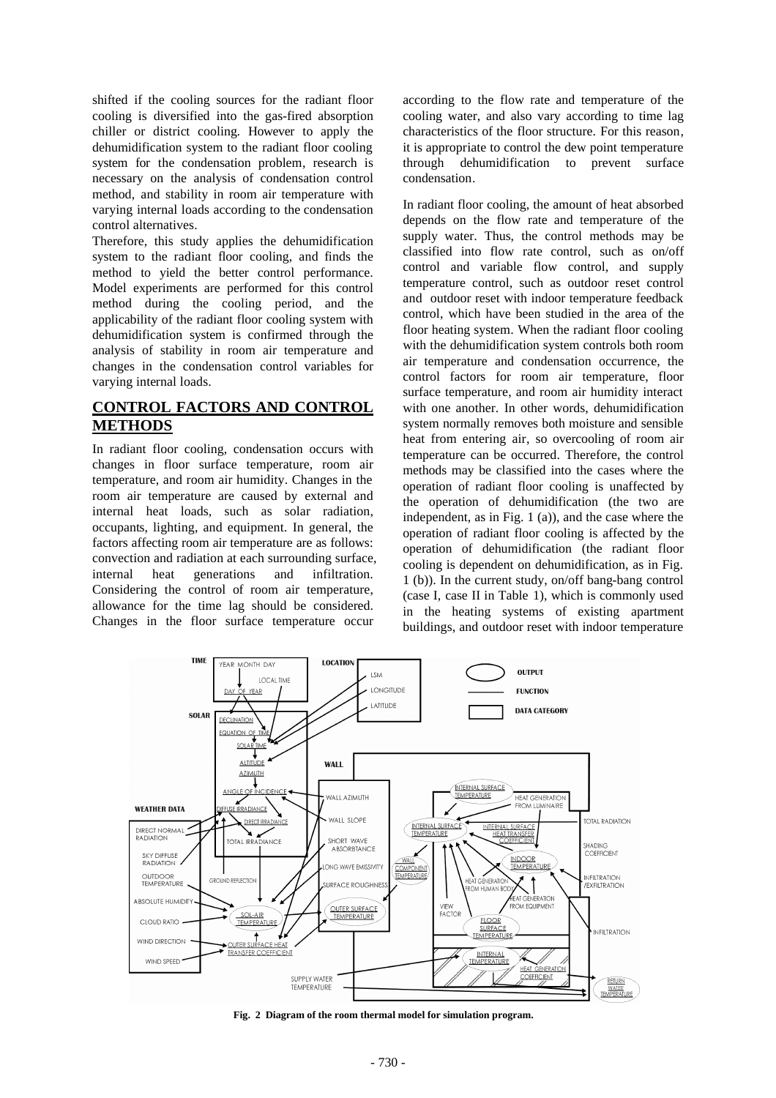shifted if the cooling sources for the radiant floor cooling is diversified into the gas-fired absorption chiller or district cooling. However to apply the dehumidification system to the radiant floor cooling system for the condensation problem, research is necessary on the analysis of condensation control method, and stability in room air temperature with varying internal loads according to the condensation control alternatives.

Therefore, this study applies the dehumidification system to the radiant floor cooling, and finds the method to yield the better control performance. Model experiments are performed for this control method during the cooling period, and the applicability of the radiant floor cooling system with dehumidification system is confirmed through the analysis of stability in room air temperature and changes in the condensation control variables for varying internal loads.

# **CONTROL FACTORS AND CONTROL METHODS**

In radiant floor cooling, condensation occurs with changes in floor surface temperature, room air temperature, and room air humidity. Changes in the room air temperature are caused by external and internal heat loads, such as solar radiation, occupants, lighting, and equipment. In general, the factors affecting room air temperature are as follows: convection and radiation at each surrounding surface, internal heat generations and infiltration. Considering the control of room air temperature, allowance for the time lag should be considered. Changes in the floor surface temperature occur

according to the flow rate and temperature of the cooling water, and also vary according to time lag characteristics of the floor structure. For this reason, it is appropriate to control the dew point temperature through dehumidification to prevent surface condensation.

In radiant floor cooling, the amount of heat absorbed depends on the flow rate and temperature of the supply water. Thus, the control methods may be classified into flow rate control, such as on/off control and variable flow control, and supply temperature control, such as outdoor reset control and outdoor reset with indoor temperature feedback control, which have been studied in the area of the floor heating system. When the radiant floor cooling with the dehumidification system controls both room air temperature and condensation occurrence, the control factors for room air temperature, floor surface temperature, and room air humidity interact with one another. In other words, dehumidification system normally removes both moisture and sensible heat from entering air, so overcooling of room air temperature can be occurred. Therefore, the control methods may be classified into the cases where the operation of radiant floor cooling is unaffected by the operation of dehumidification (the two are independent, as in Fig. 1 (a)), and the case where the operation of radiant floor cooling is affected by the operation of dehumidification (the radiant floor cooling is dependent on dehumidification, as in Fig. 1 (b)). In the current study, on/off bang-bang control (case I, case II in Table 1), which is commonly used in the heating systems of existing apartment buildings, and outdoor reset with indoor temperature



**Fig. 2 Diagram of the room thermal model for simulation program.**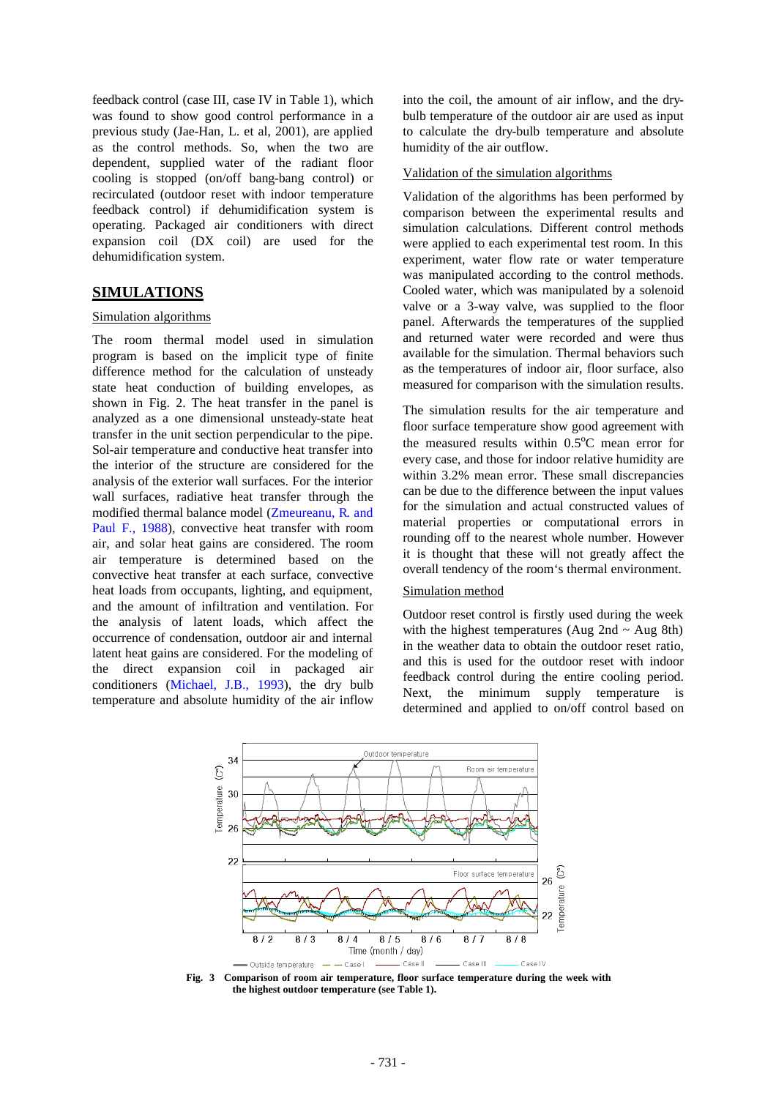feedback control (case III, case IV in Table 1), which was found to show good control performance in a previous study (Jae-Han, L. et al, 2001), are applied as the control methods. So, when the two are dependent, supplied water of the radiant floor cooling is stopped (on/off bang-bang control) or recirculated (outdoor reset with indoor temperature feedback control) if dehumidification system is operating. Packaged air conditioners with direct expansion coil (DX coil) are used for the dehumidification system.

### **SIMULATIONS**

### Simulation algorithms

The room thermal model used in simulation program is based on the implicit type of finite difference method for the calculation of unsteady state heat conduction of building envelopes, as shown in Fig. 2. The heat transfer in the panel is analyzed as a one dimensional unsteady-state heat transfer in the unit section perpendicular to the pipe. Sol-air temperature and conductive heat transfer into the interior of the structure are considered for the analysis of the exterior wall surfaces. For the interior wall surfaces, radiative heat transfer through the modified thermal balance model (Zmeureanu, R. and Paul F., 1988), convective heat transfer with room air, and solar heat gains are considered. The room air temperature is determined based on the convective heat transfer at each surface, convective heat loads from occupants, lighting, and equipment, and the amount of infiltration and ventilation. For the analysis of latent loads, which affect the occurrence of condensation, outdoor air and internal latent heat gains are considered. For the modeling of the direct expansion coil in packaged air conditioners (Michael, J.B., 1993), the dry bulb temperature and absolute humidity of the air inflow

into the coil, the amount of air inflow, and the drybulb temperature of the outdoor air are used as input to calculate the dry-bulb temperature and absolute humidity of the air outflow.

#### Validation of the simulation algorithms

Validation of the algorithms has been performed by comparison between the experimental results and simulation calculations. Different control methods were applied to each experimental test room. In this experiment, water flow rate or water temperature was manipulated according to the control methods. Cooled water, which was manipulated by a solenoid valve or a 3-way valve, was supplied to the floor panel. Afterwards the temperatures of the supplied and returned water were recorded and were thus available for the simulation. Thermal behaviors such as the temperatures of indoor air, floor surface, also measured for comparison with the simulation results.

The simulation results for the air temperature and floor surface temperature show good agreement with the measured results within 0.5ºC mean error for every case, and those for indoor relative humidity are within 3.2% mean error. These small discrepancies can be due to the difference between the input values for the simulation and actual constructed values of material properties or computational errors in rounding off to the nearest whole number. However it is thought that these will not greatly affect the overall tendency of the room's thermal environment.

## Simulation method

Outdoor reset control is firstly used during the week with the highest temperatures (Aug 2nd  $\sim$  Aug 8th) in the weather data to obtain the outdoor reset ratio, and this is used for the outdoor reset with indoor feedback control during the entire cooling period. Next, the minimum supply temperature is determined and applied to on/off control based on



**Fig. 3 Comparison of room air temperature, floor surface temperature during the week with the highest outdoor temperature (see Table 1).**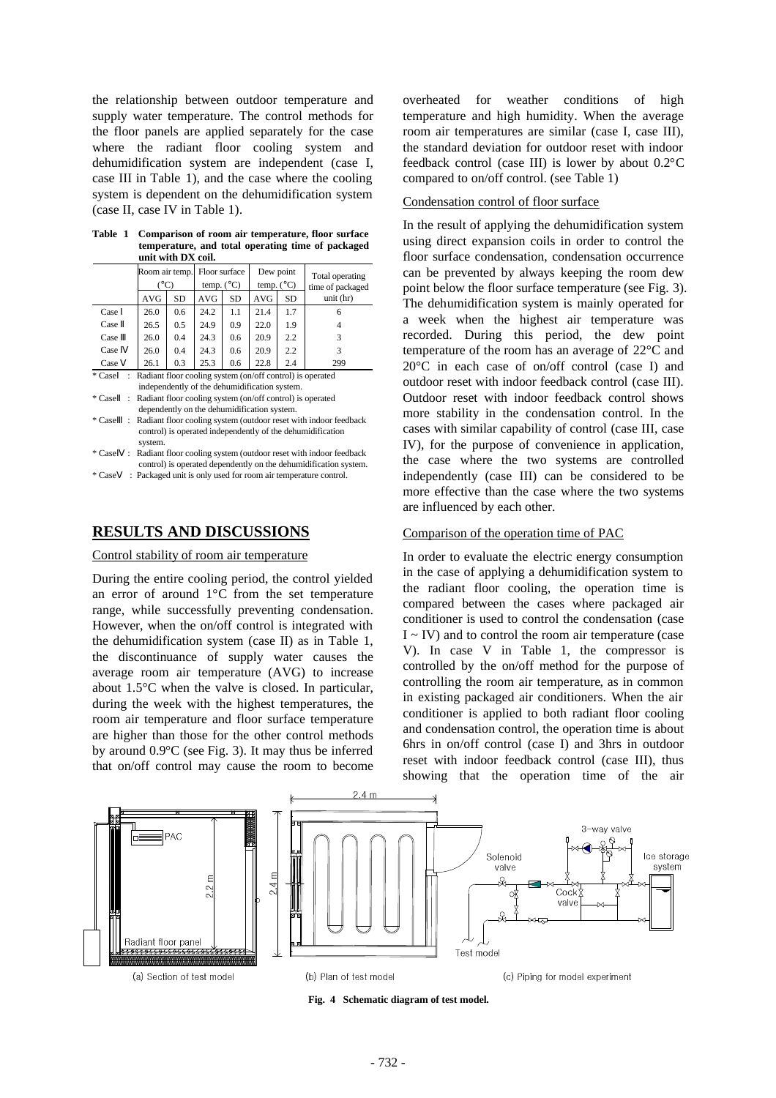the relationship between outdoor temperature and supply water temperature. The control methods for the floor panels are applied separately for the case where the radiant floor cooling system and dehumidification system are independent (case I, case III in Table 1), and the case where the cooling system is dependent on the dehumidification system (case II, case IV in Table 1).

|  | Table 1 Comparison of room air temperature, floor surface |
|--|-----------------------------------------------------------|
|  | temperature, and total operating time of packaged         |
|  | unit with DX coil.                                        |

|        | Room air temp.<br>$(^{\circ}C)$ |                                                           | Floor surface<br>temp. $(^{\circ}C)$ |            | Dew point<br>temp. $(^{\circ}C)$ |            | Total operating<br>time of packaged |                                                                  |
|--------|---------------------------------|-----------------------------------------------------------|--------------------------------------|------------|----------------------------------|------------|-------------------------------------|------------------------------------------------------------------|
|        |                                 | <b>AVG</b>                                                | SD                                   | <b>AVG</b> | <b>SD</b>                        | <b>AVG</b> | <b>SD</b>                           | unit (hr)                                                        |
| Case   |                                 | 26.0                                                      | 0.6                                  | 24.2       | 1.1                              | 21.4       | 1.7                                 | 6                                                                |
| Case   |                                 | 26.5                                                      | 0.5                                  | 24.9       | 0.9                              | 22.0       | 1.9                                 | 4                                                                |
| Case   |                                 | 26.0                                                      | 0.4                                  | 24.3       | 0.6                              | 20.9       | $2.2\,$                             | 3                                                                |
| Case   |                                 | 26.0                                                      | 0.4                                  | 24.3       | 0.6                              | 20.9       | $2.2\,$                             | 3                                                                |
| Case   |                                 | 26.1                                                      | 0.3                                  | 25.3       | 0.6                              | 22.8       | 2.4                                 | 299                                                              |
| * Case |                                 | Radiant floor cooling system (on/off control) is operated |                                      |            |                                  |            |                                     |                                                                  |
|        |                                 | independently of the dehumidification system.             |                                      |            |                                  |            |                                     |                                                                  |
| * Case | ÷                               |                                                           |                                      |            |                                  |            |                                     | Radiant floor cooling system (on/off control) is operated        |
|        |                                 | dependently on the dehumidification system.               |                                      |            |                                  |            |                                     |                                                                  |
| * Case |                                 |                                                           |                                      |            |                                  |            |                                     | Radiant floor cooling system (outdoor reset with indoor feedback |
|        |                                 |                                                           |                                      |            |                                  |            |                                     | control) is operated independently of the dehumidification       |
|        |                                 | system.                                                   |                                      |            |                                  |            |                                     |                                                                  |
| * Case |                                 |                                                           |                                      |            |                                  |            |                                     | Radiant floor cooling system (outdoor reset with indoor feedback |
|        |                                 |                                                           |                                      |            |                                  |            |                                     | control) is operated dependently on the dehumidification system. |

\* Case : Packaged unit is only used for room air temperature control.

## **RESULTS AND DISCUSSIONS**

#### Control stability of room air temperature

During the entire cooling period, the control yielded an error of around 1°C from the set temperature range, while successfully preventing condensation. However, when the on/off control is integrated with the dehumidification system (case II) as in Table 1, the discontinuance of supply water causes the average room air temperature (AVG) to increase about 1.5°C when the valve is closed. In particular, during the week with the highest temperatures, the room air temperature and floor surface temperature are higher than those for the other control methods by around 0.9°C (see Fig. 3). It may thus be inferred that on/off control may cause the room to become overheated for weather conditions of high temperature and high humidity. When the average room air temperatures are similar (case I, case III), the standard deviation for outdoor reset with indoor feedback control (case III) is lower by about 0.2°C compared to on/off control. (see Table 1)

### Condensation control of floor surface

In the result of applying the dehumidification system using direct expansion coils in order to control the floor surface condensation, condensation occurrence can be prevented by always keeping the room dew point below the floor surface temperature (see Fig. 3). The dehumidification system is mainly operated for a week when the highest air temperature was recorded. During this period, the dew point temperature of the room has an average of 22°C and 20°C in each case of on/off control (case I) and outdoor reset with indoor feedback control (case III). Outdoor reset with indoor feedback control shows more stability in the condensation control. In the cases with similar capability of control (case III, case IV), for the purpose of convenience in application, the case where the two systems are controlled independently (case III) can be considered to be more effective than the case where the two systems are influenced by each other.

#### Comparison of the operation time of PAC

In order to evaluate the electric energy consumption in the case of applying a dehumidification system to the radiant floor cooling, the operation time is compared between the cases where packaged air conditioner is used to control the condensation (case  $I \sim IV$ ) and to control the room air temperature (case V). In case V in Table 1, the compressor is controlled by the on/off method for the purpose of controlling the room air temperature, as in common in existing packaged air conditioners. When the air conditioner is applied to both radiant floor cooling and condensation control, the operation time is about 6hrs in on/off control (case I) and 3hrs in outdoor reset with indoor feedback control (case III), thus showing that the operation time of the air



**Fig. 4 Schematic diagram of test model.**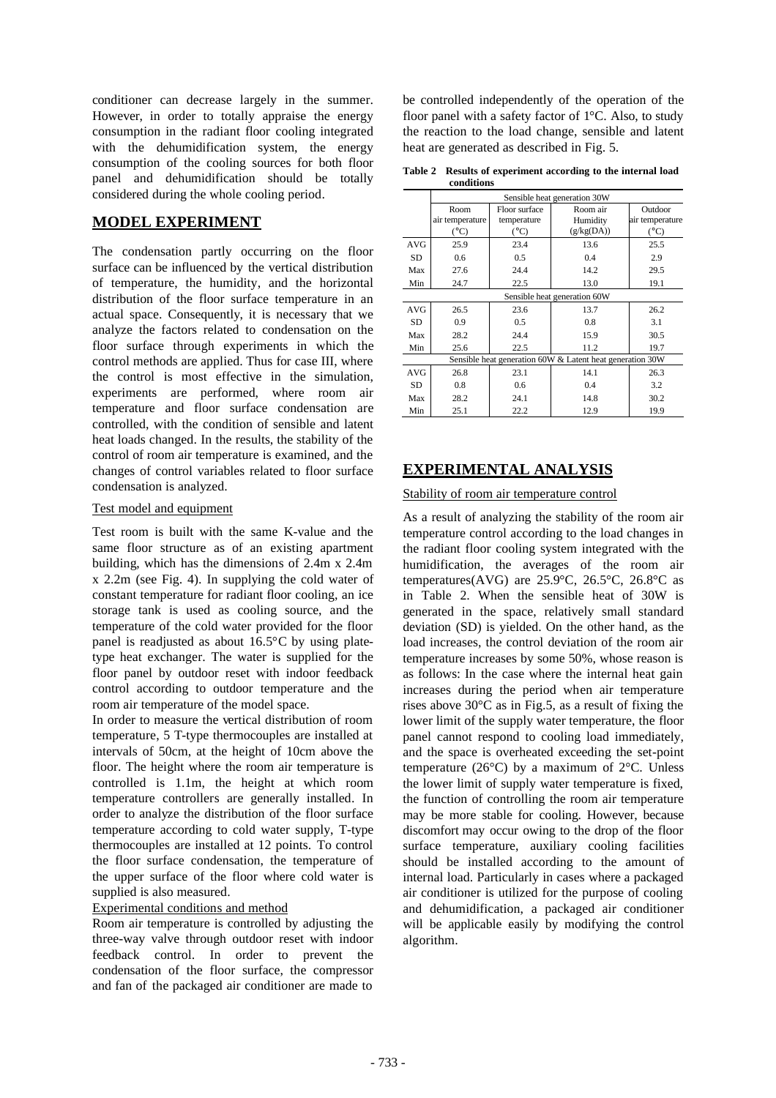conditioner can decrease largely in the summer. However, in order to totally appraise the energy consumption in the radiant floor cooling integrated with the dehumidification system, the energy consumption of the cooling sources for both floor panel and dehumidification should be totally considered during the whole cooling period.

# **MODEL EXPERIMENT**

The condensation partly occurring on the floor surface can be influenced by the vertical distribution of temperature, the humidity, and the horizontal distribution of the floor surface temperature in an actual space. Consequently, it is necessary that we analyze the factors related to condensation on the floor surface through experiments in which the control methods are applied. Thus for case III, where the control is most effective in the simulation, experiments are performed, where room air temperature and floor surface condensation are controlled, with the condition of sensible and latent heat loads changed. In the results, the stability of the control of room air temperature is examined, and the changes of control variables related to floor surface condensation is analyzed.

## Test model and equipment

Test room is built with the same K-value and the same floor structure as of an existing apartment building, which has the dimensions of 2.4m x 2.4m x 2.2m (see Fig. 4). In supplying the cold water of constant temperature for radiant floor cooling, an ice storage tank is used as cooling source, and the temperature of the cold water provided for the floor panel is readjusted as about 16.5°C by using platetype heat exchanger. The water is supplied for the floor panel by outdoor reset with indoor feedback control according to outdoor temperature and the room air temperature of the model space.

In order to measure the vertical distribution of room temperature, 5 T-type thermocouples are installed at intervals of 50cm, at the height of 10cm above the floor. The height where the room air temperature is controlled is 1.1m, the height at which room temperature controllers are generally installed. In order to analyze the distribution of the floor surface temperature according to cold water supply, T-type thermocouples are installed at 12 points. To control the floor surface condensation, the temperature of the upper surface of the floor where cold water is supplied is also measured.

## Experimental conditions and method

Room air temperature is controlled by adjusting the three-way valve through outdoor reset with indoor feedback control. In order to prevent the condensation of the floor surface, the compressor and fan of the packaged air conditioner are made to

be controlled independently of the operation of the floor panel with a safety factor of 1°C. Also, to study the reaction to the load change, sensible and latent heat are generated as described in Fig. 5.

**Table 2 Results of experiment according to the internal load conditions**

|                                                           | Sensible heat generation 30W |               |            |                 |  |  |
|-----------------------------------------------------------|------------------------------|---------------|------------|-----------------|--|--|
|                                                           | Room                         | Floor surface | Room air   | Outdoor         |  |  |
|                                                           | air temperature              | temperature   | Humidity   | air temperature |  |  |
|                                                           | $(^{\circ}C)$                | $(^{\circ}C)$ | (g/kg(DA)) | $(^{\circ}C)$   |  |  |
| AVG                                                       | 25.9                         | 23.4          | 13.6       | 25.5            |  |  |
| SD                                                        | 0.6                          | 0.5           | 0.4        | 2.9             |  |  |
| Max                                                       | 27.6                         | 24.4          | 14.2       | 29.5            |  |  |
| Min                                                       | 24.7                         | 22.5          | 13.0       | 19.1            |  |  |
|                                                           | Sensible heat generation 60W |               |            |                 |  |  |
| <b>AVG</b>                                                | 26.5                         | 23.6          | 13.7       | 26.2            |  |  |
| SD                                                        | 0.9                          | 0.5           | 0.8        | 3.1             |  |  |
| Max                                                       | 28.2                         | 24.4          | 15.9       | 30.5            |  |  |
| Min                                                       | 25.6                         | 22.5          | 11.2       | 19.7            |  |  |
| Sensible heat generation 60W & Latent heat generation 30W |                              |               |            |                 |  |  |
| <b>AVG</b>                                                | 26.8                         | 23.1          | 14.1       | 26.3            |  |  |
| SD                                                        | 0.8                          | 0.6           | 0.4        | 3.2             |  |  |
| Max                                                       | 28.2                         | 24.1          | 14.8       | 30.2            |  |  |
| Min                                                       | 25.1                         | 22.2          | 12.9       | 19.9            |  |  |

# **EXPERIMENTAL ANALYSIS**

## Stability of room air temperature control

As a result of analyzing the stability of the room air temperature control according to the load changes in the radiant floor cooling system integrated with the humidification, the averages of the room air temperatures(AVG) are  $25.9^{\circ}$ C,  $26.5^{\circ}$ C,  $26.8^{\circ}$ C as in Table 2. When the sensible heat of 30W is generated in the space, relatively small standard deviation (SD) is yielded. On the other hand, as the load increases, the control deviation of the room air temperature increases by some 50%, whose reason is as follows: In the case where the internal heat gain increases during the period when air temperature rises above 30°C as in Fig.5, as a result of fixing the lower limit of the supply water temperature, the floor panel cannot respond to cooling load immediately, and the space is overheated exceeding the set-point temperature (26 $^{\circ}$ C) by a maximum of 2 $^{\circ}$ C. Unless the lower limit of supply water temperature is fixed, the function of controlling the room air temperature may be more stable for cooling. However, because discomfort may occur owing to the drop of the floor surface temperature, auxiliary cooling facilities should be installed according to the amount of internal load. Particularly in cases where a packaged air conditioner is utilized for the purpose of cooling and dehumidification, a packaged air conditioner will be applicable easily by modifying the control algorithm.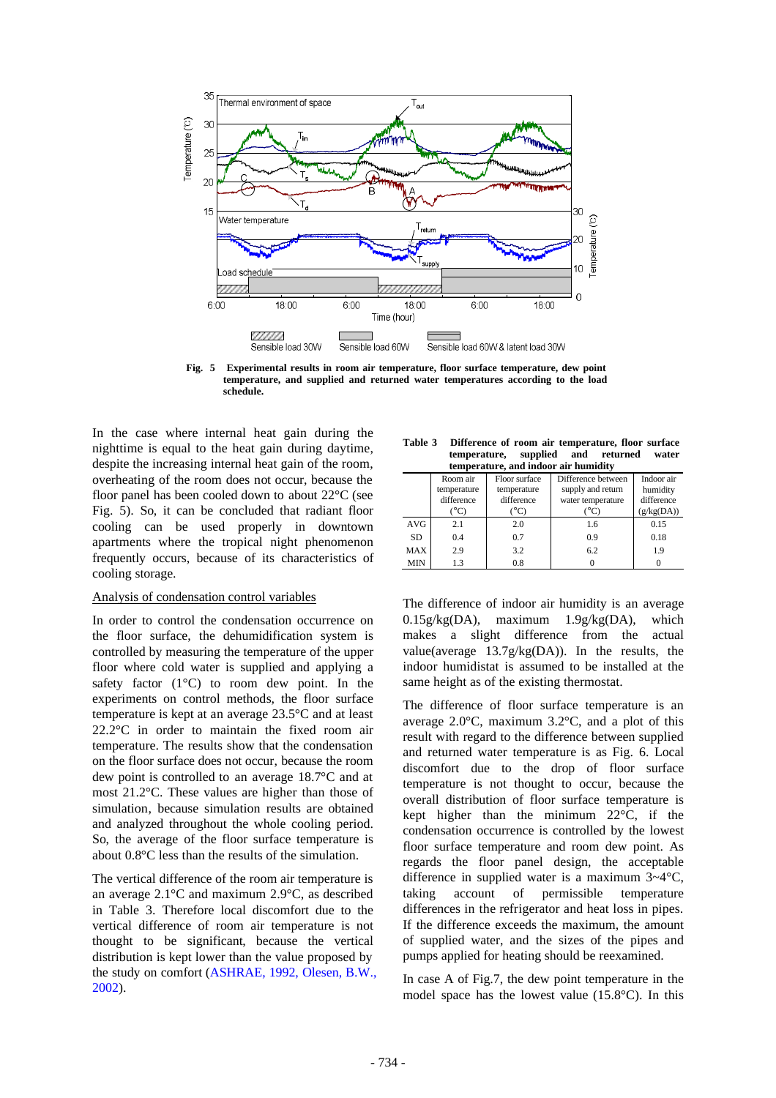

**Fig. 5 Experimental results in room air temperature, floor surface temperature, dew point temperature, and supplied and returned water temperatures according to the load schedule.**

In the case where internal heat gain during the nighttime is equal to the heat gain during daytime, despite the increasing internal heat gain of the room, overheating of the room does not occur, because the floor panel has been cooled down to about 22°C (see Fig. 5). So, it can be concluded that radiant floor cooling can be used properly in downtown apartments where the tropical night phenomenon frequently occurs, because of its characteristics of cooling storage.

### Analysis of condensation control variables

In order to control the condensation occurrence on the floor surface, the dehumidification system is controlled by measuring the temperature of the upper floor where cold water is supplied and applying a safety factor  $(1^{\circ}C)$  to room dew point. In the experiments on control methods, the floor surface temperature is kept at an average 23.5°C and at least 22.2°C in order to maintain the fixed room air temperature. The results show that the condensation on the floor surface does not occur, because the room dew point is controlled to an average 18.7°C and at most 21.2°C. These values are higher than those of simulation, because simulation results are obtained and analyzed throughout the whole cooling period. So, the average of the floor surface temperature is about 0.8°C less than the results of the simulation.

The vertical difference of the room air temperature is an average 2.1°C and maximum 2.9°C, as described in Table 3. Therefore local discomfort due to the vertical difference of room air temperature is not thought to be significant, because the vertical distribution is kept lower than the value proposed by the study on comfort (ASHRAE, 1992, Olesen, B.W., 2002).

| Table 3 | Difference of room air temperature, floor surface |  |       |
|---------|---------------------------------------------------|--|-------|
|         | temperature, supplied and returned                |  | water |
|         | temperature, and indoor air humidity              |  |       |

| temperature, and muotran numidity |             |               |                    |            |  |
|-----------------------------------|-------------|---------------|--------------------|------------|--|
|                                   | Room air    | Floor surface | Difference between | Indoor air |  |
|                                   | temperature | temperature   | supply and return  | humidity   |  |
|                                   | difference  | difference    | water temperature  | difference |  |
|                                   | °C)         | °C)           | °°C                | (g/kg(DA)) |  |
| <b>AVG</b>                        | 2.1         | 2.0           | 1.6                | 0.15       |  |
| SD.                               | 0.4         | 0.7           | 0.9                | 0.18       |  |
| <b>MAX</b>                        | 2.9         | 3.2           | 6.2                | 1.9        |  |
| <b>MIN</b>                        | 1.3         | 0.8           |                    |            |  |

The difference of indoor air humidity is an average 0.15g/kg(DA), maximum 1.9g/kg(DA), which makes a slight difference from the actual value(average 13.7g/kg(DA)). In the results, the indoor humidistat is assumed to be installed at the same height as of the existing thermostat.

The difference of floor surface temperature is an average 2.0°C, maximum 3.2°C, and a plot of this result with regard to the difference between supplied and returned water temperature is as Fig. 6. Local discomfort due to the drop of floor surface temperature is not thought to occur, because the overall distribution of floor surface temperature is kept higher than the minimum 22°C, if the condensation occurrence is controlled by the lowest floor surface temperature and room dew point. As regards the floor panel design, the acceptable difference in supplied water is a maximum 3~4°C, taking account of permissible temperature differences in the refrigerator and heat loss in pipes. If the difference exceeds the maximum, the amount of supplied water, and the sizes of the pipes and pumps applied for heating should be reexamined.

In case A of Fig.7, the dew point temperature in the model space has the lowest value (15.8°C). In this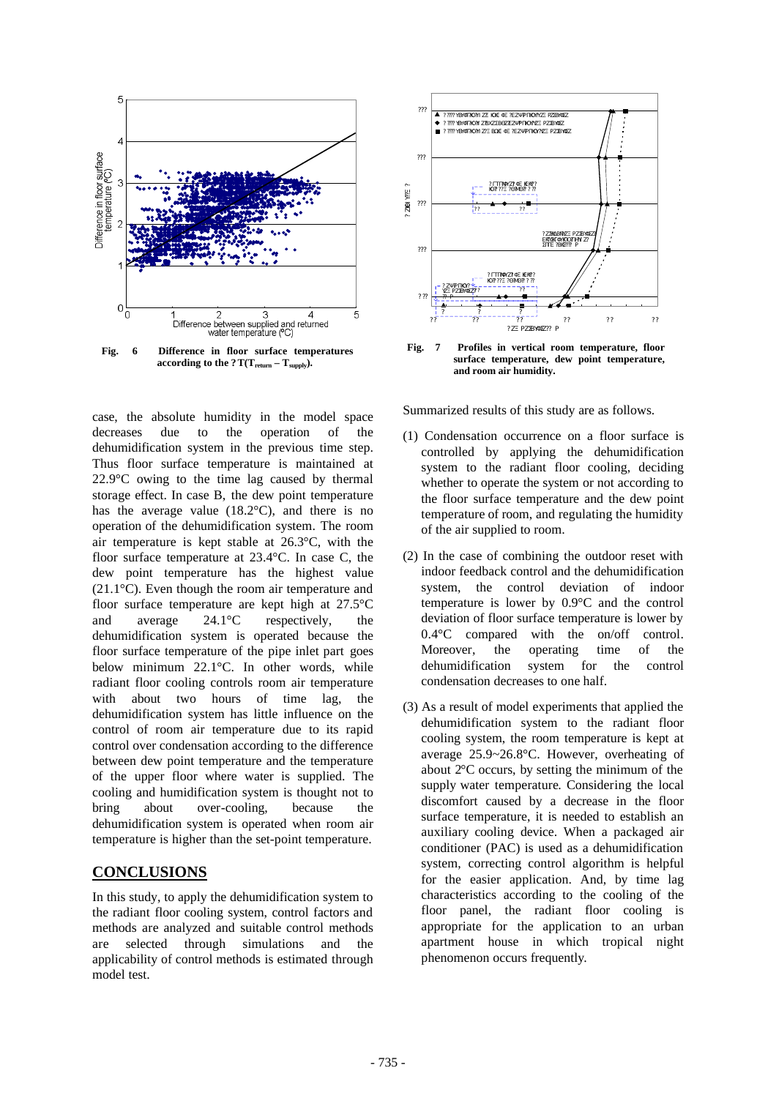

case, the absolute humidity in the model space decreases due to the operation of the dehumidification system in the previous time step. Thus floor surface temperature is maintained at 22.9°C owing to the time lag caused by thermal storage effect. In case B, the dew point temperature has the average value (18.2°C), and there is no operation of the dehumidification system. The room air temperature is kept stable at 26.3°C, with the floor surface temperature at 23.4°C. In case C, the dew point temperature has the highest value (21.1°C). Even though the room air temperature and floor surface temperature are kept high at 27.5°C and average 24.1°C respectively, the dehumidification system is operated because the floor surface temperature of the pipe inlet part goes below minimum 22.1°C. In other words, while radiant floor cooling controls room air temperature with about two hours of time lag, the dehumidification system has little influence on the control of room air temperature due to its rapid control over condensation according to the difference between dew point temperature and the temperature of the upper floor where water is supplied. The cooling and humidification system is thought not to bring about over-cooling, because the dehumidification system is operated when room air temperature is higher than the set-point temperature.

## **CONCLUSIONS**

In this study, to apply the dehumidification system to the radiant floor cooling system, control factors and methods are analyzed and suitable control methods are selected through simulations and the applicability of control methods is estimated through model test.



**Fig. 7 Profiles in vertical room temperature, floor surface temperature, dew point temperature, and room air humidity.** 

Summarized results of this study are as follows.

- (1) Condensation occurrence on a floor surface is controlled by applying the dehumidification system to the radiant floor cooling, deciding whether to operate the system or not according to the floor surface temperature and the dew point temperature of room, and regulating the humidity of the air supplied to room.
- (2) In the case of combining the outdoor reset with indoor feedback control and the dehumidification system, the control deviation of indoor temperature is lower by 0.9°C and the control deviation of floor surface temperature is lower by 0.4°C compared with the on/off control. Moreover, the operating time of the dehumidification system for the control condensation decreases to one half.
- (3) As a result of model experiments that applied the dehumidification system to the radiant floor cooling system, the room temperature is kept at average 25.9~26.8°C. However, overheating of about 2°C occurs, by setting the minimum of the supply water temperature. Considering the local discomfort caused by a decrease in the floor surface temperature, it is needed to establish an auxiliary cooling device. When a packaged air conditioner (PAC) is used as a dehumidification system, correcting control algorithm is helpful for the easier application. And, by time lag characteristics according to the cooling of the floor panel, the radiant floor cooling is appropriate for the application to an urban apartment house in which tropical night phenomenon occurs frequently.